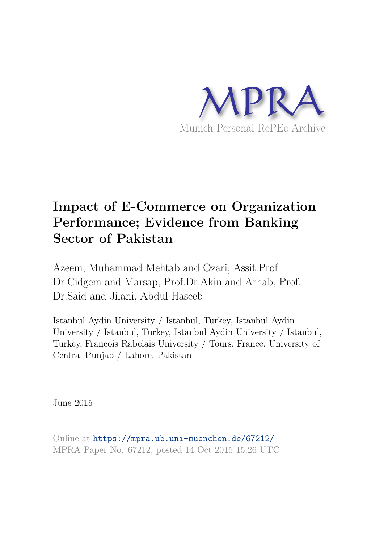

# **Impact of E-Commerce on Organization Performance; Evidence from Banking Sector of Pakistan**

Azeem, Muhammad Mehtab and Ozari, Assit.Prof. Dr.Cidgem and Marsap, Prof.Dr.Akin and Arhab, Prof. Dr.Said and Jilani, Abdul Haseeb

Istanbul Aydin University / Istanbul, Turkey, Istanbul Aydin University / Istanbul, Turkey, Istanbul Aydin University / Istanbul, Turkey, Francois Rabelais University / Tours, France, University of Central Punjab / Lahore, Pakistan

June 2015

Online at https://mpra.ub.uni-muenchen.de/67212/ MPRA Paper No. 67212, posted 14 Oct 2015 15:26 UTC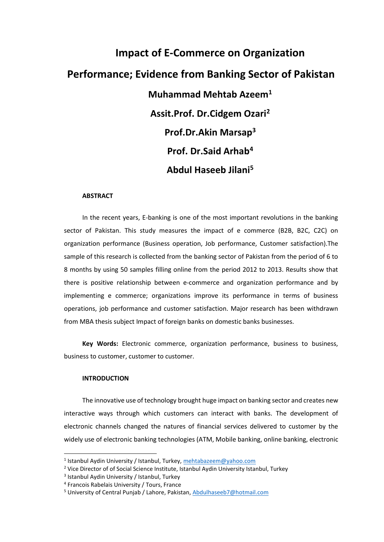# **Impact of E-Commerce on Organization Performance; Evidence from Banking Sector of Pakistan Muhammad Mehtab Azeem<sup>1</sup> Assit.Prof. Dr.Cidgem Ozari<sup>2</sup> Prof.Dr.Akin Marsap<sup>3</sup> Prof. Dr.Said Arhab<sup>4</sup> Abdul Haseeb Jilani<sup>5</sup>**

#### **ABSTRACT**

In the recent years, E-banking is one of the most important revolutions in the banking sector of Pakistan. This study measures the impact of e commerce (B2B, B2C, C2C) on organization performance (Business operation, Job performance, Customer satisfaction).The sample of this research is collected from the banking sector of Pakistan from the period of 6 to 8 months by using 50 samples filling online from the period 2012 to 2013. Results show that there is positive relationship between e-commerce and organization performance and by implementing e commerce; organizations improve its performance in terms of business operations, job performance and customer satisfaction. Major research has been withdrawn from MBA thesis subject Impact of foreign banks on domestic banks businesses.

**Key Words:** Electronic commerce, organization performance, business to business, business to customer, customer to customer.

# **INTRODUCTION**

l

The innovative use of technology brought huge impact on banking sector and creates new interactive ways through which customers can interact with banks. The development of electronic channels changed the natures of financial services delivered to customer by the widely use of electronic banking technologies (ATM, Mobile banking, online banking, electronic

<sup>&</sup>lt;sup>1</sup> Istanbul Aydin University / Istanbul, Turkey, mehtabazeem@yahoo.com

<sup>&</sup>lt;sup>2</sup> Vice Director of of Social Science Institute, Istanbul Aydin University Istanbul, Turkey

<sup>&</sup>lt;sup>3</sup> Istanbul Aydin University / Istanbul, Turkey

<sup>4</sup> Francois Rabelais University / Tours, France

<sup>&</sup>lt;sup>5</sup> University of Central Punjab / Lahore, Pakistan[, Abdulhaseeb7@hotmail.com](mailto:Abdulhaseeb7@hotmail.com)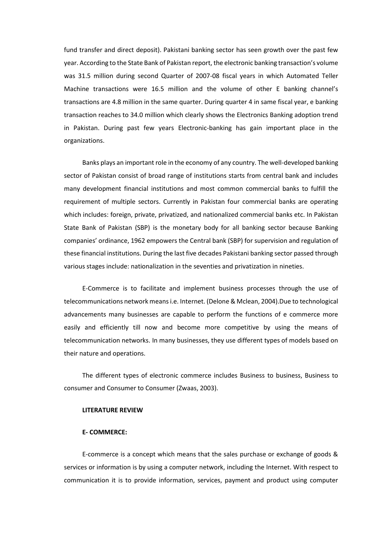fund transfer and direct deposit). Pakistani banking sector has seen growth over the past few year. According to the State Bank of Pakistan report, the electronic banking transaction's volume was 31.5 million during second Quarter of 2007-08 fiscal years in which Automated Teller Machine transactions were 16.5 million and the volume of other E banking channel's transactions are 4.8 million in the same quarter. During quarter 4 in same fiscal year, e banking transaction reaches to 34.0 million which clearly shows the Electronics Banking adoption trend in Pakistan. During past few years Electronic-banking has gain important place in the organizations.

Banks plays an important role in the economy of any country. The well-developed banking sector of Pakistan consist of broad range of institutions starts from central bank and includes many development financial institutions and most common commercial banks to fulfill the requirement of multiple sectors. Currently in Pakistan four commercial banks are operating which includes: foreign, private, privatized, and nationalized commercial banks etc. In Pakistan State Bank of Pakistan (SBP) is the monetary body for all banking sector because Banking companies' ordinance, 1962 empowers the Central bank (SBP) for supervision and regulation of these financial institutions. During the last five decades Pakistani banking sector passed through various stages include: nationalization in the seventies and privatization in nineties.

E-Commerce is to facilitate and implement business processes through the use of telecommunications network means i.e. Internet. (Delone & Mclean, 2004).Due to technological advancements many businesses are capable to perform the functions of e commerce more easily and efficiently till now and become more competitive by using the means of telecommunication networks. In many businesses, they use different types of models based on their nature and operations.

The different types of electronic commerce includes Business to business, Business to consumer and Consumer to Consumer (Zwaas, 2003).

#### **LITERATURE REVIEW**

#### **E- COMMERCE:**

E-commerce is a concept which means that the sales purchase or exchange of goods & services or information is by using a computer network, including the Internet. With respect to communication it is to provide information, services, payment and product using computer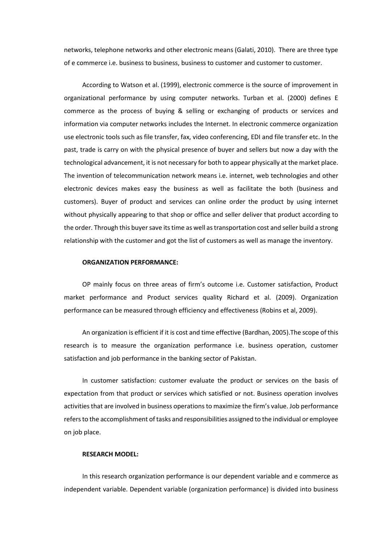networks, telephone networks and other electronic means (Galati, 2010). There are three type of e commerce i.e. business to business, business to customer and customer to customer.

According to Watson et al. (1999), electronic commerce is the source of improvement in organizational performance by using computer networks. Turban et al. (2000) defines E commerce as the process of buying & selling or exchanging of products or services and information via computer networks includes the Internet. In electronic commerce organization use electronic tools such as file transfer, fax, video conferencing, EDI and file transfer etc. In the past, trade is carry on with the physical presence of buyer and sellers but now a day with the technological advancement, it is not necessary for both to appear physically at the market place. The invention of telecommunication network means i.e. internet, web technologies and other electronic devices makes easy the business as well as facilitate the both (business and customers). Buyer of product and services can online order the product by using internet without physically appearing to that shop or office and seller deliver that product according to the order. Through this buyer save its time as well as transportation cost and seller build a strong relationship with the customer and got the list of customers as well as manage the inventory.

#### **ORGANIZATION PERFORMANCE:**

OP mainly focus on three areas of firm's outcome i.e. Customer satisfaction, Product market performance and Product services quality Richard et al. (2009). Organization performance can be measured through efficiency and effectiveness (Robins et al, 2009).

An organization is efficient if it is cost and time effective (Bardhan, 2005).The scope of this research is to measure the organization performance i.e. business operation, customer satisfaction and job performance in the banking sector of Pakistan.

In customer satisfaction: customer evaluate the product or services on the basis of expectation from that product or services which satisfied or not. Business operation involves activities that are involved in business operations to maximize the firm's value. Job performance refers to the accomplishment of tasks and responsibilities assigned to the individual or employee on job place.

# **RESEARCH MODEL:**

In this research organization performance is our dependent variable and e commerce as independent variable. Dependent variable (organization performance) is divided into business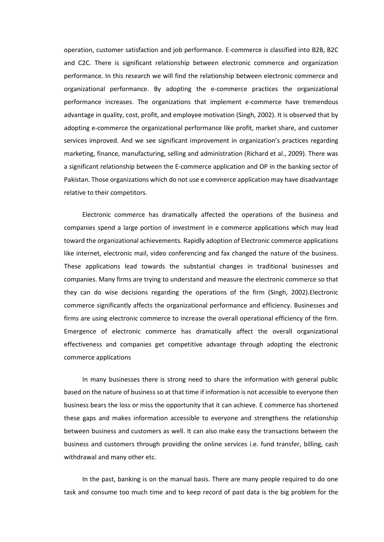operation, customer satisfaction and job performance. E-commerce is classified into B2B, B2C and C2C. There is significant relationship between electronic commerce and organization performance. In this research we will find the relationship between electronic commerce and organizational performance. By adopting the e-commerce practices the organizational performance increases. The organizations that implement e-commerce have tremendous advantage in quality, cost, profit, and employee motivation (Singh, 2002). It is observed that by adopting e-commerce the organizational performance like profit, market share, and customer services improved. And we see significant improvement in organization's practices regarding marketing, finance, manufacturing, selling and administration (Richard et al., 2009). There was a significant relationship between the E-commerce application and OP in the banking sector of Pakistan. Those organizations which do not use e commerce application may have disadvantage relative to their competitors.

Electronic commerce has dramatically affected the operations of the business and companies spend a large portion of investment in e commerce applications which may lead toward the organizational achievements. Rapidly adoption of Electronic commerce applications like internet, electronic mail, video conferencing and fax changed the nature of the business. These applications lead towards the substantial changes in traditional businesses and companies. Many firms are trying to understand and measure the electronic commerce so that they can do wise decisions regarding the operations of the firm (Singh, 2002).Electronic commerce significantly affects the organizational performance and efficiency. Businesses and firms are using electronic commerce to increase the overall operational efficiency of the firm. Emergence of electronic commerce has dramatically affect the overall organizational effectiveness and companies get competitive advantage through adopting the electronic commerce applications

In many businesses there is strong need to share the information with general public based on the nature of business so at that time if information is not accessible to everyone then business bears the loss or miss the opportunity that it can achieve. E commerce has shortened these gaps and makes information accessible to everyone and strengthens the relationship between business and customers as well. It can also make easy the transactions between the business and customers through providing the online services i.e. fund transfer, billing, cash withdrawal and many other etc.

In the past, banking is on the manual basis. There are many people required to do one task and consume too much time and to keep record of past data is the big problem for the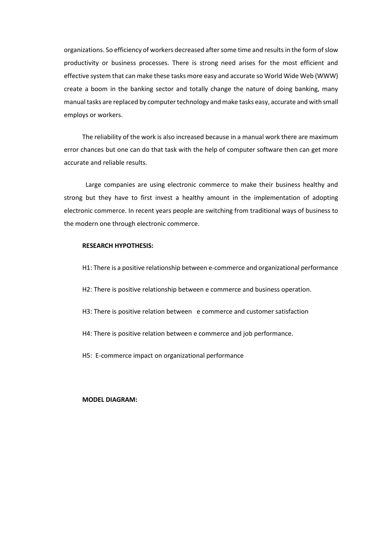organizations. So efficiency of workers decreased after some time and results in the form of slow productivity or business processes. There is strong need arises for the most efficient and effective system that can make these tasks more easy and accurate so World Wide Web (WWW) create a boom in the banking sector and totally change the nature of doing banking, many manual tasks are replaced by computer technology and make tasks easy, accurate and with small employs or workers.

The reliability of the work is also increased because in a manual work there are maximum error chances but one can do that task with the help of computer software then can get more accurate and reliable results.

 Large companies are using electronic commerce to make their business healthy and strong but they have to first invest a healthy amount in the implementation of adopting electronic commerce. In recent years people are switching from traditional ways of business to the modern one through electronic commerce.

#### **RESEARCH HYPOTHESIS:**

- H1: There is a positive relationship between e-commerce and organizational performance
- H2: There is positive relationship between e commerce and business operation.
- H3: There is positive relation between e commerce and customer satisfaction
- H4: There is positive relation between e commerce and job performance.
- H5: E-commerce impact on organizational performance

# **MODEL DIAGRAM:**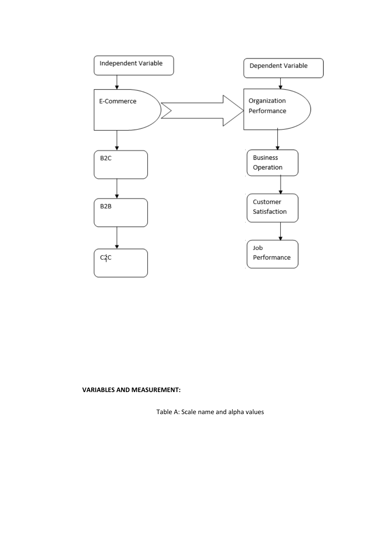

# **VARIABLES AND MEASUREMENT:**

Table A: Scale name and alpha values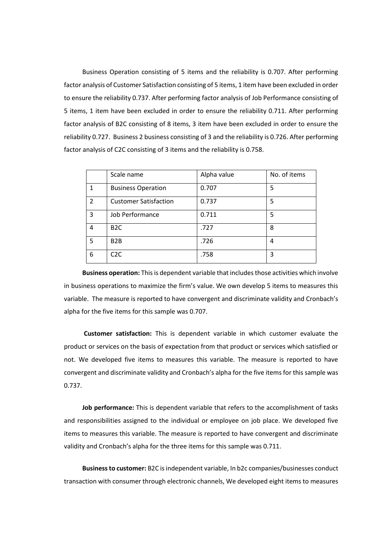Business Operation consisting of 5 items and the reliability is 0.707. After performing factor analysis of Customer Satisfaction consisting of 5 items, 1 item have been excluded in order to ensure the reliability 0.737. After performing factor analysis of Job Performance consisting of 5 items, 1 item have been excluded in order to ensure the reliability 0.711. After performing factor analysis of B2C consisting of 8 items, 3 item have been excluded in order to ensure the reliability 0.727. Business 2 business consisting of 3 and the reliability is 0.726. After performing factor analysis of C2C consisting of 3 items and the reliability is 0.758.

|                | Scale name                   | Alpha value | No. of items |
|----------------|------------------------------|-------------|--------------|
| 1              | <b>Business Operation</b>    | 0.707       | 5            |
| $\mathfrak{p}$ | <b>Customer Satisfaction</b> | 0.737       | 5            |
| 3              | Job Performance              | 0.711       | 5            |
| 4              | B <sub>2</sub> C             | .727        | 8            |
| 5              | B <sub>2</sub> B             | .726        | 4            |
| 6              | C2C                          | .758        | 3            |

**Business operation:** This is dependent variable that includes those activities which involve in business operations to maximize the firm's value. We own develop 5 items to measures this variable. The measure is reported to have convergent and discriminate validity and Cronbach's alpha for the five items for this sample was 0.707.

 **Customer satisfaction:** This is dependent variable in which customer evaluate the product or services on the basis of expectation from that product or services which satisfied or not. We developed five items to measures this variable. The measure is reported to have convergent and discriminate validity and Cronbach's alpha for the five items for this sample was 0.737.

**Job performance:** This is dependent variable that refers to the accomplishment of tasks and responsibilities assigned to the individual or employee on job place. We developed five items to measures this variable. The measure is reported to have convergent and discriminate validity and Cronbach's alpha for the three items for this sample was 0.711.

**Business to customer:** B2C is independent variable, In b2c companies/businesses conduct transaction with consumer through electronic channels, We developed eight items to measures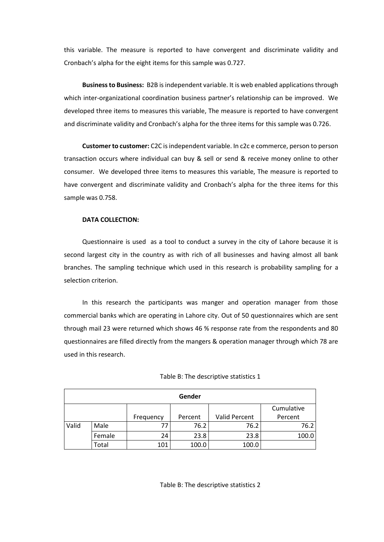this variable. The measure is reported to have convergent and discriminate validity and Cronbach's alpha for the eight items for this sample was 0.727.

**Business to Business:** B2B is independent variable. It is web enabled applications through which inter-organizational coordination business partner's relationship can be improved. We developed three items to measures this variable, The measure is reported to have convergent and discriminate validity and Cronbach's alpha for the three items for this sample was 0.726.

**Customer to customer:** C2C is independent variable. In c2c e commerce, person to person transaction occurs where individual can buy & sell or send & receive money online to other consumer. We developed three items to measures this variable, The measure is reported to have convergent and discriminate validity and Cronbach's alpha for the three items for this sample was 0.758.

# **DATA COLLECTION:**

Questionnaire is used as a tool to conduct a survey in the city of Lahore because it is second largest city in the country as with rich of all businesses and having almost all bank branches. The sampling technique which used in this research is probability sampling for a selection criterion.

In this research the participants was manger and operation manager from those commercial banks which are operating in Lahore city. Out of 50 questionnaires which are sent through mail 23 were returned which shows 46 % response rate from the respondents and 80 questionnaires are filled directly from the mangers & operation manager through which 78 are used in this research.

| Gender |        |           |         |               |            |  |  |
|--------|--------|-----------|---------|---------------|------------|--|--|
|        |        |           |         |               | Cumulative |  |  |
|        |        | Frequency | Percent | Valid Percent | Percent    |  |  |
| Valid  | Male   | 77        | 76.2    | 76.2          | 76.2       |  |  |
|        | Female | 24        | 23.8    | 23.8          | 100.0      |  |  |
|        | Total  | 101       | 100.0   | 100.0         |            |  |  |

## Table B: The descriptive statistics 1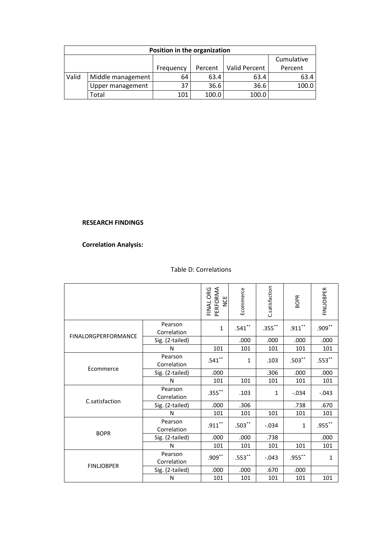| Position in the organization |                   |           |         |               |            |  |  |  |
|------------------------------|-------------------|-----------|---------|---------------|------------|--|--|--|
|                              |                   |           |         |               | Cumulative |  |  |  |
|                              |                   | Frequency | Percent | Valid Percent | Percent    |  |  |  |
| Valid                        | Middle management | 64        | 63.4    | 63.4          | 63.4       |  |  |  |
|                              | Upper management  | 37        | 36.6    | 36.6          | 100.0      |  |  |  |
|                              | Total             | 101       | 100.0   | 100.0         |            |  |  |  |

# **RESEARCH FINDINGS**

# **Correlation Analysis:**

|                            |                        | PERFORMA<br>FINAL ORG<br>NCE | Ecommerce | C.satisfaction | <b>BOPR</b> | <b>FINLIOBPER</b> |
|----------------------------|------------------------|------------------------------|-----------|----------------|-------------|-------------------|
| <b>FINALORGPERFORMANCE</b> | Pearson<br>Correlation | 1                            | $.541***$ | $.355$ **      | $.911***$   | $.909***$         |
|                            | Sig. (2-tailed)        |                              | .000      | .000           | .000        | .000              |
|                            | N                      | 101                          | 101       | 101            | 101         | 101               |
|                            | Pearson<br>Correlation | $.541***$                    | 1         | .103           | $.503***$   | $.553**$          |
| Ecommerce                  | Sig. (2-tailed)        | .000                         |           | .306           | .000        | .000              |
|                            | N                      | 101                          | 101       | 101            | 101         | 101               |
| C.satisfaction             | Pearson<br>Correlation | $.355***$                    | .103      | 1              | $-.034$     | $-.043$           |
|                            | Sig. (2-tailed)        | .000                         | .306      |                | .738        | .670              |
|                            | N                      | 101                          | 101       | 101            | 101         | 101               |
| <b>BOPR</b>                | Pearson<br>Correlation | $.911***$                    | $.503***$ | $-.034$        | 1           | $.955***$         |
|                            | Sig. (2-tailed)        | .000                         | .000      | .738           |             | .000              |
|                            | N                      | 101                          | 101       | 101            | 101         | 101               |
| <b>FINLJOBPER</b>          | Pearson<br>Correlation | $.909***$                    | $.553***$ | $-.043$        | $.955***$   | $\mathbf{1}$      |
|                            | Sig. (2-tailed)        | .000                         | .000      | .670           | .000        |                   |
|                            | N                      | 101                          | 101       | 101            | 101         | 101               |

# Table D: Correlations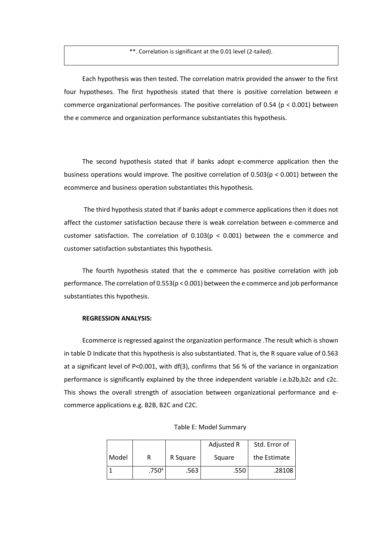\*\*. Correlation is significant at the 0.01 level (2-tailed).

Each hypothesis was then tested. The correlation matrix provided the answer to the first four hypotheses. The first hypothesis stated that there is positive correlation between e commerce organizational performances. The positive correlation of 0.54 (p < 0.001) between the e commerce and organization performance substantiates this hypothesis.

The second hypothesis stated that if banks adopt e-commerce application then the business operations would improve. The positive correlation of 0.503(p < 0.001) between the ecommerce and business operation substantiates this hypothesis.

 The third hypothesis stated that if banks adopt e commerce applications then it does not affect the customer satisfaction because there is weak correlation between e-commerce and customer satisfaction. The correlation of  $0.103(p < 0.001)$  between the e commerce and customer satisfaction substantiates this hypothesis.

The fourth hypothesis stated that the e commerce has positive correlation with job performance. The correlation of 0.553(p < 0.001) between the e commerce and job performance substantiates this hypothesis.

## **REGRESSION ANALYSIS:**

Ecommerce is regressed against the organization performance .The result which is shown in table D Indicate that this hypothesis is also substantiated. That is, the R square value of 0.563 at a significant level of P<0.001, with df(3), confirms that 56 % of the variance in organization performance is significantly explained by the three independent variable i.e.b2b,b2c and c2c. This shows the overall strength of association between organizational performance and ecommerce applications e.g. B2B, B2C and C2C.

|       |                |          | Adjusted R | Std. Error of |
|-------|----------------|----------|------------|---------------|
| Model |                | R Square | Square     | the Estimate  |
|       | $.750^{\circ}$ | .563     | .550       | .28108        |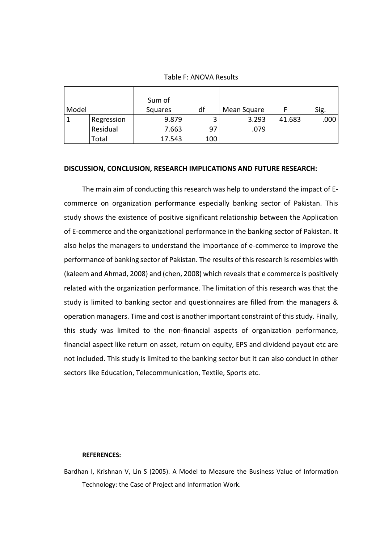# Table F: ANOVA Results

|       |            | Sum of  |     |             |        |      |
|-------|------------|---------|-----|-------------|--------|------|
| Model |            | Squares | df  | Mean Square |        | Sig. |
|       | Regression | 9.879   |     | 3.293       | 41.683 | .000 |
|       | Residual   | 7.663   | 97  | .079        |        |      |
|       | Total      | 17.543  | 100 |             |        |      |

# **DISCUSSION, CONCLUSION, RESEARCH IMPLICATIONS AND FUTURE RESEARCH:**

The main aim of conducting this research was help to understand the impact of Ecommerce on organization performance especially banking sector of Pakistan. This study shows the existence of positive significant relationship between the Application of E-commerce and the organizational performance in the banking sector of Pakistan. It also helps the managers to understand the importance of e-commerce to improve the performance of banking sector of Pakistan. The results of this research is resembles with (kaleem and Ahmad, 2008) and (chen, 2008) which reveals that e commerce is positively related with the organization performance. The limitation of this research was that the study is limited to banking sector and questionnaires are filled from the managers & operation managers. Time and cost is another important constraint of this study. Finally, this study was limited to the non-financial aspects of organization performance, financial aspect like return on asset, return on equity, EPS and dividend payout etc are not included. This study is limited to the banking sector but it can also conduct in other sectors like Education, Telecommunication, Textile, Sports etc.

## **REFERENCES:**

Bardhan I, Krishnan V, Lin S (2005). A Model to Measure the Business Value of Information Technology: the Case of Project and Information Work.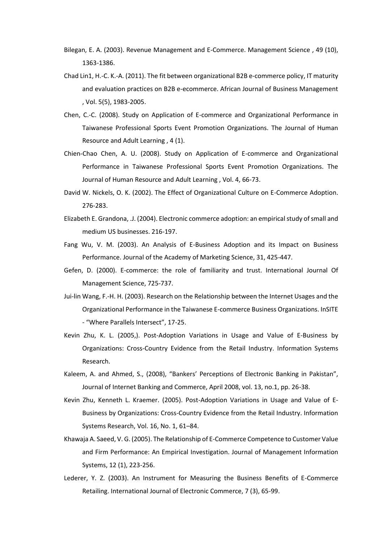- Bilegan, E. A. (2003). Revenue Management and E-Commerce. Management Science , 49 (10), 1363-1386.
- Chad Lin1, H.-C. K.-A. (2011). The fit between organizational B2B e-commerce policy, IT maturity and evaluation practices on B2B e-ecommerce. African Journal of Business Management , Vol. 5(5), 1983-2005.
- Chen, C.-C. (2008). Study on Application of E-commerce and Organizational Performance in Taiwanese Professional Sports Event Promotion Organizations. The Journal of Human Resource and Adult Learning , 4 (1).
- Chien-Chao Chen, A. U. (2008). Study on Application of E-commerce and Organizational Performance in Taiwanese Professional Sports Event Promotion Organizations. The Journal of Human Resource and Adult Learning , Vol. 4, 66-73.
- David W. Nickels, O. K. (2002). The Effect of Organizational Culture on E-Commerce Adoption. 276-283.
- Elizabeth E. Grandona, .J. (2004). Electronic commerce adoption: an empirical study of small and medium US businesses. 216-197.
- Fang Wu, V. M. (2003). An Analysis of E-Business Adoption and its Impact on Business Performance. Journal of the Academy of Marketing Science, 31, 425-447.
- Gefen, D. (2000). E-commerce: the role of familiarity and trust. International Journal Of Management Science, 725-737.
- Jui-lin Wang, F.-H. H. (2003). Research on the Relationship between the Internet Usages and the Organizational Performance in the Taiwanese E-commerce Business Organizations. InSITE - "Where Parallels Intersect", 17-25.
- Kevin Zhu, K. L. (2005,). Post-Adoption Variations in Usage and Value of E-Business by Organizations: Cross-Country Evidence from the Retail Industry. Information Systems Research.
- Kaleem, A. and Ahmed, S., (2008), "Bankers' Perceptions of Electronic Banking in Pakistan", Journal of Internet Banking and Commerce, April 2008, vol. 13, no.1, pp. 26-38.
- Kevin Zhu, Kenneth L. Kraemer. (2005). Post-Adoption Variations in Usage and Value of E-Business by Organizations: Cross-Country Evidence from the Retail Industry. Information Systems Research, Vol. 16, No. 1, 61–84.
- Khawaja A. Saeed, V. G. (2005). The Relationship of E-Commerce Competence to Customer Value and Firm Performance: An Empirical Investigation. Journal of Management Information Systems, 12 (1), 223-256.
- Lederer, Y. Z. (2003). An Instrument for Measuring the Business Benefits of E-Commerce Retailing. International Journal of Electronic Commerce, 7 (3), 65-99.